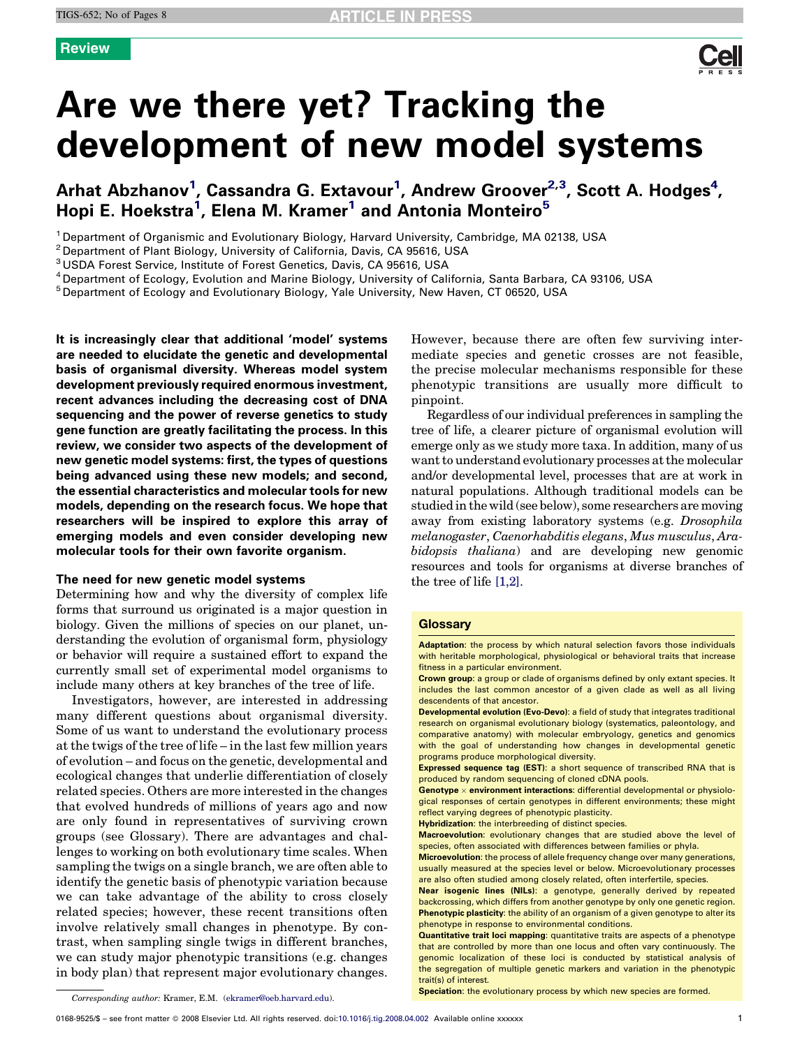

# Are we there yet? Tracking the development of new model systems

Arhat Abzhanov<sup>1</sup>, Cassandra G. Extavour<sup>1</sup>, Andrew Groover<sup>2,3</sup>, Scott A. Hodges<sup>4</sup>, Hopi E. Hoekstra<sup>1</sup>, Elena M. Kramer<sup>1</sup> and Antonia Monteiro<sup>5</sup>

<sup>1</sup> Department of Organismic and Evolutionary Biology, Harvard University, Cambridge, MA 02138, USA

<sup>2</sup> Department of Plant Biology, University of California, Davis, CA 95616, USA

<sup>3</sup> USDA Forest Service, Institute of Forest Genetics, Davis, CA 95616, USA

<sup>4</sup> Department of Ecology, Evolution and Marine Biology, University of California, Santa Barbara, CA 93106, USA

<sup>5</sup> Department of Ecology and Evolutionary Biology, Yale University, New Haven, CT 06520, USA

It is increasingly clear that additional 'model' systems are needed to elucidate the genetic and developmental basis of organismal diversity. Whereas model system development previously required enormous investment, recent advances including the decreasing cost of DNA sequencing and the power of reverse genetics to study gene function are greatly facilitating the process. In this review, we consider two aspects of the development of new genetic model systems: first, the types of questions being advanced using these new models; and second, the essential characteristics and molecular tools for new models, depending on the research focus. We hope that researchers will be inspired to explore this array of emerging models and even consider developing new molecular tools for their own favorite organism.

# The need for new genetic model systems

Determining how and why the diversity of complex life forms that surround us originated is a major question in biology. Given the millions of species on our planet, understanding the evolution of organismal form, physiology or behavior will require a sustained effort to expand the currently small set of experimental model organisms to include many others at key branches of the tree of life.

Investigators, however, are interested in addressing many different questions about organismal diversity. Some of us want to understand the evolutionary process at the twigs of the tree of life – in the last few million years of evolution – and focus on the genetic, developmental and ecological changes that underlie differentiation of closely related species. Others are more interested in the changes that evolved hundreds of millions of years ago and now are only found in representatives of surviving crown groups (see Glossary). There are advantages and challenges to working on both evolutionary time scales. When sampling the twigs on a single branch, we are often able to identify the genetic basis of phenotypic variation because we can take advantage of the ability to cross closely related species; however, these recent transitions often involve relatively small changes in phenotype. By contrast, when sampling single twigs in different branches, we can study major phenotypic transitions (e.g. changes in body plan) that represent major evolutionary changes.

However, because there are often few surviving intermediate species and genetic crosses are not feasible, the precise molecular mechanisms responsible for these phenotypic transitions are usually more difficult to pinpoint.

Regardless of our individual preferences in sampling the tree of life, a clearer picture of organismal evolution will emerge only as we study more taxa. In addition, many of us want to understand evolutionary processes at the molecular and/or developmental level, processes that are at work in natural populations. Although traditional models can be studied in the wild (see below), some researchers are moving away from existing laboratory systems (e.g. Drosophila melanogaster, Caenorhabditis elegans, Mus musculus, Arabidopsis thaliana) and are developing new genomic resources and tools for organisms at diverse branches of the tree of life [\[1,2\].](#page-6-0)

### **Glossary**

Adaptation: the process by which natural selection favors those individuals with heritable morphological, physiological or behavioral traits that increase fitness in a particular environment.

Crown group: a group or clade of organisms defined by only extant species. It includes the last common ancestor of a given clade as well as all living descendents of that ancestor.

Developmental evolution (Evo-Devo): a field of study that integrates traditional research on organismal evolutionary biology (systematics, paleontology, and comparative anatomy) with molecular embryology, genetics and genomics with the goal of understanding how changes in developmental genetic programs produce morphological diversity.

Expressed sequence tag (EST): a short sequence of transcribed RNA that is produced by random sequencing of cloned cDNA pools.

Genotype  $\times$  environment interactions: differential developmental or physiological responses of certain genotypes in different environments; these might reflect varying degrees of phenotypic plasticity.

Hybridization: the interbreeding of distinct species.

Macroevolution: evolutionary changes that are studied above the level of species, often associated with differences between families or phyla.

Microevolution: the process of allele frequency change over many generations, usually measured at the species level or below. Microevolutionary processes are also often studied among closely related, often interfertile, species.

Near isogenic lines (NILs): a genotype, generally derived by repeated backcrossing, which differs from another genotype by only one genetic region. Phenotypic plasticity: the ability of an organism of a given genotype to alter its phenotype in response to environmental conditions.

Quantitative trait loci mapping: quantitative traits are aspects of a phenotype that are controlled by more than one locus and often vary continuously. The genomic localization of these loci is conducted by statistical analysis of the segregation of multiple genetic markers and variation in the phenotypic trait(s) of interest.

Speciation: the evolutionary process by which new species are formed.<br>Corresponding author: Kramer, E.M. [\(ekramer@oeb.harvard.edu](mailto:ekramer@oeb.harvard.edu)).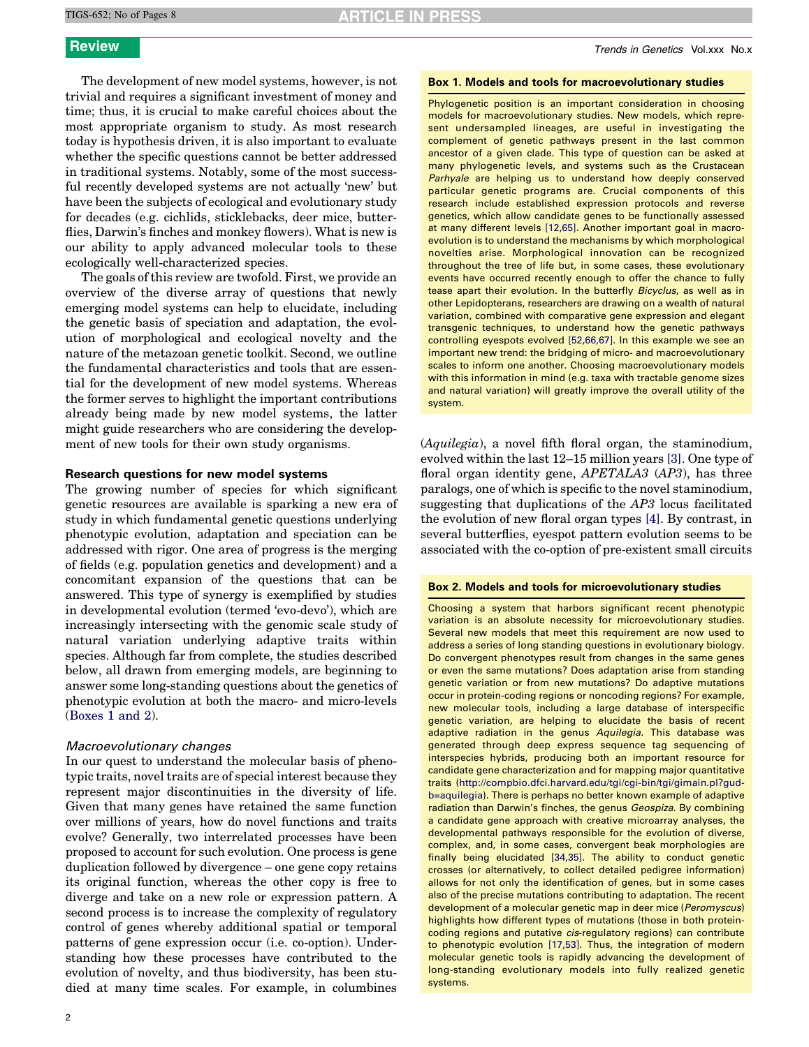<span id="page-1-0"></span>The development of new model systems, however, is not trivial and requires a significant investment of money and time; thus, it is crucial to make careful choices about the most appropriate organism to study. As most research today is hypothesis driven, it is also important to evaluate whether the specific questions cannot be better addressed in traditional systems. Notably, some of the most successful recently developed systems are not actually 'new' but have been the subjects of ecological and evolutionary study for decades (e.g. cichlids, sticklebacks, deer mice, butterflies, Darwin's finches and monkey flowers). What is new is our ability to apply advanced molecular tools to these ecologically well-characterized species.

The goals of this review are twofold. First, we provide an overview of the diverse array of questions that newly emerging model systems can help to elucidate, including the genetic basis of speciation and adaptation, the evolution of morphological and ecological novelty and the nature of the metazoan genetic toolkit. Second, we outline the fundamental characteristics and tools that are essential for the development of new model systems. Whereas the former serves to highlight the important contributions already being made by new model systems, the latter might guide researchers who are considering the development of new tools for their own study organisms.

# Research questions for new model systems

The growing number of species for which significant genetic resources are available is sparking a new era of study in which fundamental genetic questions underlying phenotypic evolution, adaptation and speciation can be addressed with rigor. One area of progress is the merging of fields (e.g. population genetics and development) and a concomitant expansion of the questions that can be answered. This type of synergy is exemplified by studies in developmental evolution (termed 'evo-devo'), which are increasingly intersecting with the genomic scale study of natural variation underlying adaptive traits within species. Although far from complete, the studies described below, all drawn from emerging models, are beginning to answer some long-standing questions about the genetics of phenotypic evolution at both the macro- and micro-levels (Boxes 1 and 2).

# Macroevolutionary changes

In our quest to understand the molecular basis of phenotypic traits, novel traits are of special interest because they represent major discontinuities in the diversity of life. Given that many genes have retained the same function over millions of years, how do novel functions and traits evolve? Generally, two interrelated processes have been proposed to account for such evolution. One process is gene duplication followed by divergence – one gene copy retains its original function, whereas the other copy is free to diverge and take on a new role or expression pattern. A second process is to increase the complexity of regulatory control of genes whereby additional spatial or temporal patterns of gene expression occur (i.e. co-option). Understanding how these processes have contributed to the evolution of novelty, and thus biodiversity, has been studied at many time scales. For example, in columbines

# Box 1. Models and tools for macroevolutionary studies

Phylogenetic position is an important consideration in choosing models for macroevolutionary studies. New models, which represent undersampled lineages, are useful in investigating the complement of genetic pathways present in the last common ancestor of a given clade. This type of question can be asked at many phylogenetic levels, and systems such as the Crustacean Parhyale are helping us to understand how deeply conserved particular genetic programs are. Crucial components of this research include established expression protocols and reverse genetics, which allow candidate genes to be functionally assessed at many different levels [\[12,65\]](#page-7-0). Another important goal in macroevolution is to understand the mechanisms by which morphological novelties arise. Morphological innovation can be recognized throughout the tree of life but, in some cases, these evolutionary events have occurred recently enough to offer the chance to fully tease apart their evolution. In the butterfly Bicyclus, as well as in other Lepidopterans, researchers are drawing on a wealth of natural variation, combined with comparative gene expression and elegant transgenic techniques, to understand how the genetic pathways controlling eyespots evolved [\[52,66,67\]](#page-7-0). In this example we see an important new trend: the bridging of micro- and macroevolutionary scales to inform one another. Choosing macroevolutionary models with this information in mind (e.g. taxa with tractable genome sizes and natural variation) will greatly improve the overall utility of the system.

(Aquilegia), a novel fifth floral organ, the staminodium, evolved within the last 12–15 million years [\[3\]](#page-6-0). One type of floral organ identity gene, APETALA3 (AP3), has three paralogs, one of which is specific to the novel staminodium, suggesting that duplications of the AP3 locus facilitated the evolution of new floral organ types [\[4\]](#page-6-0). By contrast, in several butterflies, eyespot pattern evolution seems to be associated with the co-option of pre-existent small circuits

# Box 2. Models and tools for microevolutionary studies

Choosing a system that harbors significant recent phenotypic variation is an absolute necessity for microevolutionary studies. Several new models that meet this requirement are now used to address a series of long standing questions in evolutionary biology. Do convergent phenotypes result from changes in the same genes or even the same mutations? Does adaptation arise from standing genetic variation or from new mutations? Do adaptive mutations occur in protein-coding regions or noncoding regions? For example, new molecular tools, including a large database of interspecific genetic variation, are helping to elucidate the basis of recent adaptive radiation in the genus Aquilegia. This database was generated through deep express sequence tag sequencing of interspecies hybrids, producing both an important resource for candidate gene characterization and for mapping major quantitative traits ([http://compbio.dfci.harvard.edu/tgi/cgi-bin/tgi/gimain.pl?gud](http://compbio.dfci.harvard.edu/tgi/cgi-bin/tgi/gimain.pl%3Fgudb=aquilegia)[b=aquilegia\)](http://compbio.dfci.harvard.edu/tgi/cgi-bin/tgi/gimain.pl%3Fgudb=aquilegia). There is perhaps no better known example of adaptive radiation than Darwin's finches, the genus Geospiza. By combining a candidate gene approach with creative microarray analyses, the developmental pathways responsible for the evolution of diverse, complex, and, in some cases, convergent beak morphologies are finally being elucidated [\[34,35\].](#page-7-0) The ability to conduct genetic crosses (or alternatively, to collect detailed pedigree information) allows for not only the identification of genes, but in some cases also of the precise mutations contributing to adaptation. The recent development of a molecular genetic map in deer mice (Peromyscus) highlights how different types of mutations (those in both proteincoding regions and putative cis-regulatory regions) can contribute to phenotypic evolution [\[17,53\].](#page-7-0) Thus, the integration of modern molecular genetic tools is rapidly advancing the development of long-standing evolutionary models into fully realized genetic systems.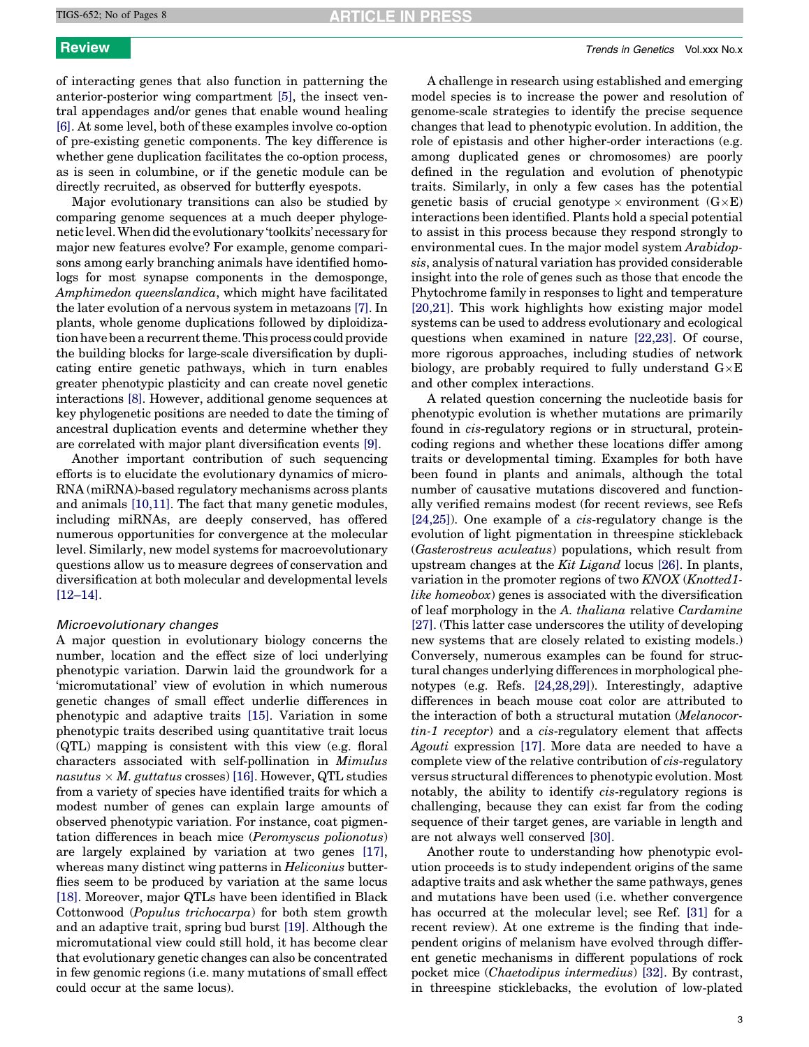of interacting genes that also function in patterning the anterior-posterior wing compartment [\[5\]](#page-6-0), the insect ventral appendages and/or genes that enable wound healing [\[6\].](#page-6-0) At some level, both of these examples involve co-option of pre-existing genetic components. The key difference is whether gene duplication facilitates the co-option process, as is seen in columbine, or if the genetic module can be directly recruited, as observed for butterfly eyespots.

Major evolutionary transitions can also be studied by comparing genome sequences at a much deeper phylogenetic level.When did the evolutionary 'toolkits' necessary for major new features evolve? For example, genome comparisons among early branching animals have identified homologs for most synapse components in the demosponge, Amphimedon queenslandica, which might have facilitated the later evolution of a nervous system in metazoans [\[7\]](#page-6-0). In plants, whole genome duplications followed by diploidization have been a recurrent theme. This process could provide the building blocks for large-scale diversification by duplicating entire genetic pathways, which in turn enables greater phenotypic plasticity and can create novel genetic interactions [\[8\].](#page-6-0) However, additional genome sequences at key phylogenetic positions are needed to date the timing of ancestral duplication events and determine whether they are correlated with major plant diversification events [\[9\]](#page-6-0).

Another important contribution of such sequencing efforts is to elucidate the evolutionary dynamics of micro-RNA (miRNA)-based regulatory mechanisms across plants and animals [\[10,11\].](#page-7-0) The fact that many genetic modules, including miRNAs, are deeply conserved, has offered numerous opportunities for convergence at the molecular level. Similarly, new model systems for macroevolutionary questions allow us to measure degrees of conservation and diversification at both molecular and developmental levels [\[12–14\].](#page-7-0)

### Microevolutionary changes

A major question in evolutionary biology concerns the number, location and the effect size of loci underlying phenotypic variation. Darwin laid the groundwork for a 'micromutational' view of evolution in which numerous genetic changes of small effect underlie differences in phenotypic and adaptive traits [\[15\]](#page-7-0). Variation in some phenotypic traits described using quantitative trait locus (QTL) mapping is consistent with this view (e.g. floral characters associated with self-pollination in Mimulus  ${\it nasutus} \times M$ .  ${\it guttatus}$  crosses) [\[16\].](#page-7-0) However, QTL studies from a variety of species have identified traits for which a modest number of genes can explain large amounts of observed phenotypic variation. For instance, coat pigmentation differences in beach mice (Peromyscus polionotus) are largely explained by variation at two genes [\[17\]](#page-7-0), whereas many distinct wing patterns in *Heliconius* butterflies seem to be produced by variation at the same locus [\[18\]](#page-7-0). Moreover, major QTLs have been identified in Black Cottonwood (Populus trichocarpa) for both stem growth and an adaptive trait, spring bud burst [\[19\]](#page-7-0). Although the micromutational view could still hold, it has become clear that evolutionary genetic changes can also be concentrated in few genomic regions (i.e. many mutations of small effect could occur at the same locus).

A challenge in research using established and emerging model species is to increase the power and resolution of genome-scale strategies to identify the precise sequence changes that lead to phenotypic evolution. In addition, the role of epistasis and other higher-order interactions (e.g. among duplicated genes or chromosomes) are poorly defined in the regulation and evolution of phenotypic traits. Similarly, in only a few cases has the potential genetic basis of crucial genotype  $\times$  environment  $(G\times E)$ interactions been identified. Plants hold a special potential to assist in this process because they respond strongly to environmental cues. In the major model system Arabidopsis, analysis of natural variation has provided considerable insight into the role of genes such as those that encode the Phytochrome family in responses to light and temperature [\[20,21\]](#page-7-0). This work highlights how existing major model systems can be used to address evolutionary and ecological questions when examined in nature [\[22,23\].](#page-7-0) Of course, more rigorous approaches, including studies of network biology, are probably required to fully understand  $G\times E$ and other complex interactions.

A related question concerning the nucleotide basis for phenotypic evolution is whether mutations are primarily found in cis-regulatory regions or in structural, proteincoding regions and whether these locations differ among traits or developmental timing. Examples for both have been found in plants and animals, although the total number of causative mutations discovered and functionally verified remains modest (for recent reviews, see Refs [\[24,25\]](#page-7-0)). One example of a cis-regulatory change is the evolution of light pigmentation in threespine stickleback (Gasterostreus aculeatus) populations, which result from upstream changes at the Kit Ligand locus [\[26\].](#page-7-0) In plants, variation in the promoter regions of two KNOX (Knotted1like homeobox) genes is associated with the diversification of leaf morphology in the A. thaliana relative Cardamine [\[27\]](#page-7-0). (This latter case underscores the utility of developing new systems that are closely related to existing models.) Conversely, numerous examples can be found for structural changes underlying differences in morphological phenotypes (e.g. Refs. [\[24,28,29\]](#page-7-0)). Interestingly, adaptive differences in beach mouse coat color are attributed to the interaction of both a structural mutation (Melanocortin-1 receptor) and a cis-regulatory element that affects Agouti expression [\[17\].](#page-7-0) More data are needed to have a complete view of the relative contribution of cis-regulatory versus structural differences to phenotypic evolution. Most notably, the ability to identify *cis*-regulatory regions is challenging, because they can exist far from the coding sequence of their target genes, are variable in length and are not always well conserved [\[30\].](#page-7-0)

Another route to understanding how phenotypic evolution proceeds is to study independent origins of the same adaptive traits and ask whether the same pathways, genes and mutations have been used (i.e. whether convergence has occurred at the molecular level; see Ref. [\[31\]](#page-7-0) for a recent review). At one extreme is the finding that independent origins of melanism have evolved through different genetic mechanisms in different populations of rock pocket mice (Chaetodipus intermedius) [\[32\].](#page-7-0) By contrast, in threespine sticklebacks, the evolution of low-plated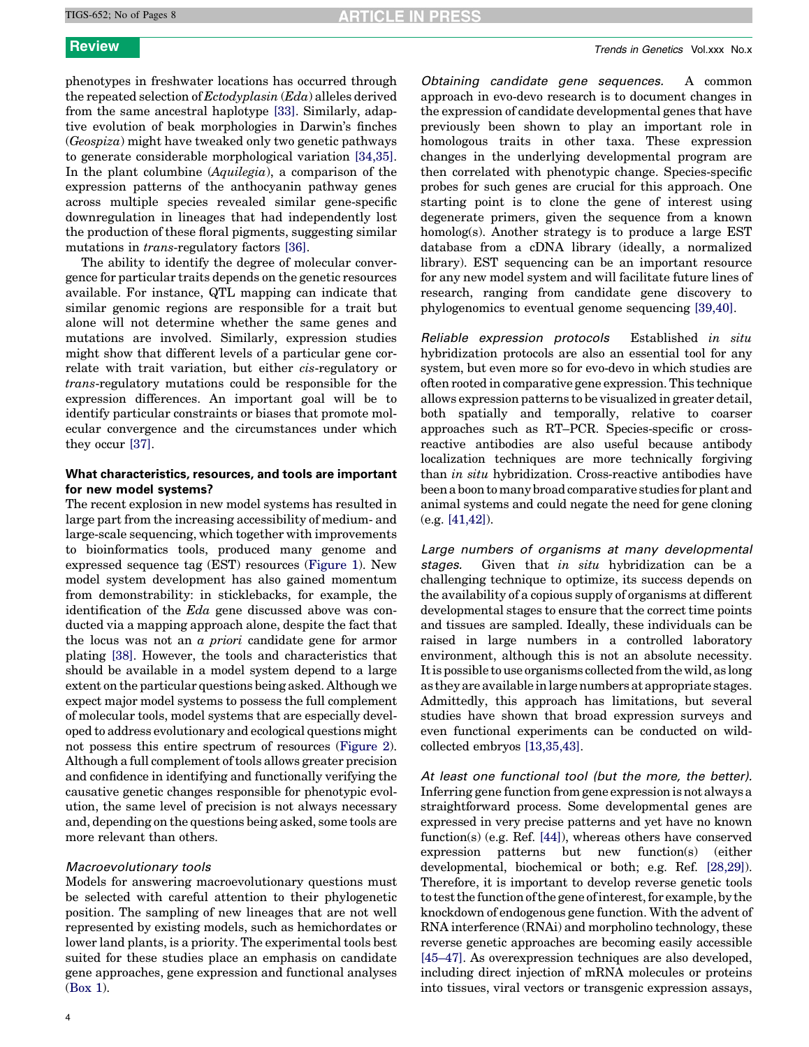phenotypes in freshwater locations has occurred through the repeated selection of Ectodyplasin (Eda) alleles derived from the same ancestral haplotype [\[33\].](#page-7-0) Similarly, adaptive evolution of beak morphologies in Darwin's finches (Geospiza) might have tweaked only two genetic pathways to generate considerable morphological variation [\[34,35\]](#page-7-0). In the plant columbine (Aquilegia), a comparison of the expression patterns of the anthocyanin pathway genes across multiple species revealed similar gene-specific downregulation in lineages that had independently lost the production of these floral pigments, suggesting similar mutations in trans-regulatory factors [\[36\]](#page-7-0).

The ability to identify the degree of molecular convergence for particular traits depends on the genetic resources available. For instance, QTL mapping can indicate that similar genomic regions are responsible for a trait but alone will not determine whether the same genes and mutations are involved. Similarly, expression studies might show that different levels of a particular gene correlate with trait variation, but either cis-regulatory or trans-regulatory mutations could be responsible for the expression differences. An important goal will be to identify particular constraints or biases that promote molecular convergence and the circumstances under which they occur [\[37\]](#page-7-0).

# What characteristics, resources, and tools are important for new model systems?

The recent explosion in new model systems has resulted in large part from the increasing accessibility of medium- and large-scale sequencing, which together with improvements to bioinformatics tools, produced many genome and expressed sequence tag (EST) resources ([Figure 1\)](#page-4-0). New model system development has also gained momentum from demonstrability: in sticklebacks, for example, the identification of the *Eda* gene discussed above was conducted via a mapping approach alone, despite the fact that the locus was not an a priori candidate gene for armor plating [\[38\].](#page-7-0) However, the tools and characteristics that should be available in a model system depend to a large extent on the particular questions being asked. Although we expect major model systems to possess the full complement of molecular tools, model systems that are especially developed to address evolutionary and ecological questions might not possess this entire spectrum of resources [\(Figure 2](#page-5-0)). Although a full complement of tools allows greater precision and confidence in identifying and functionally verifying the causative genetic changes responsible for phenotypic evolution, the same level of precision is not always necessary and, depending on the questions being asked, some tools are more relevant than others.

# Macroevolutionary tools

Models for answering macroevolutionary questions must be selected with careful attention to their phylogenetic position. The sampling of new lineages that are not well represented by existing models, such as hemichordates or lower land plants, is a priority. The experimental tools best suited for these studies place an emphasis on candidate gene approaches, gene expression and functional analyses ([Box 1\)](#page-1-0).

Obtaining candidate gene sequences. A common approach in evo-devo research is to document changes in the expression of candidate developmental genes that have previously been shown to play an important role in homologous traits in other taxa. These expression changes in the underlying developmental program are then correlated with phenotypic change. Species-specific probes for such genes are crucial for this approach. One starting point is to clone the gene of interest using degenerate primers, given the sequence from a known homolog(s). Another strategy is to produce a large EST database from a cDNA library (ideally, a normalized library). EST sequencing can be an important resource for any new model system and will facilitate future lines of research, ranging from candidate gene discovery to phylogenomics to eventual genome sequencing [\[39,40\]](#page-7-0).

Reliable expression protocols Established in situ hybridization protocols are also an essential tool for any system, but even more so for evo-devo in which studies are often rooted in comparative gene expression. This technique allows expression patterns to be visualized in greater detail, both spatially and temporally, relative to coarser approaches such as RT–PCR. Species-specific or crossreactive antibodies are also useful because antibody localization techniques are more technically forgiving than in situ hybridization. Cross-reactive antibodies have been a boon tomany broad comparative studies for plant and animal systems and could negate the need for gene cloning (e.g. [\[41,42\]](#page-7-0)).

Large numbers of organisms at many developmental stages. Given that *in situ* hybridization can be a challenging technique to optimize, its success depends on the availability of a copious supply of organisms at different developmental stages to ensure that the correct time points and tissues are sampled. Ideally, these individuals can be raised in large numbers in a controlled laboratory environment, although this is not an absolute necessity. It is possible to use organisms collected from the wild, as long as they are available in large numbers at appropriate stages. Admittedly, this approach has limitations, but several studies have shown that broad expression surveys and even functional experiments can be conducted on wildcollected embryos [\[13,35,43\]](#page-7-0).

At least one functional tool (but the more, the better). Inferring gene function from gene expression is not always a straightforward process. Some developmental genes are expressed in very precise patterns and yet have no known function(s) (e.g. Ref. [\[44\]](#page-7-0)), whereas others have conserved expression patterns but new function(s) (either developmental, biochemical or both; e.g. Ref. [\[28,29\]](#page-7-0)). Therefore, it is important to develop reverse genetic tools to test the function of the gene of interest, for example, by the knockdown of endogenous gene function. With the advent of RNA interference (RNAi) and morpholino technology, these reverse genetic approaches are becoming easily accessible [\[45–47\]](#page-7-0). As overexpression techniques are also developed, including direct injection of mRNA molecules or proteins into tissues, viral vectors or transgenic expression assays,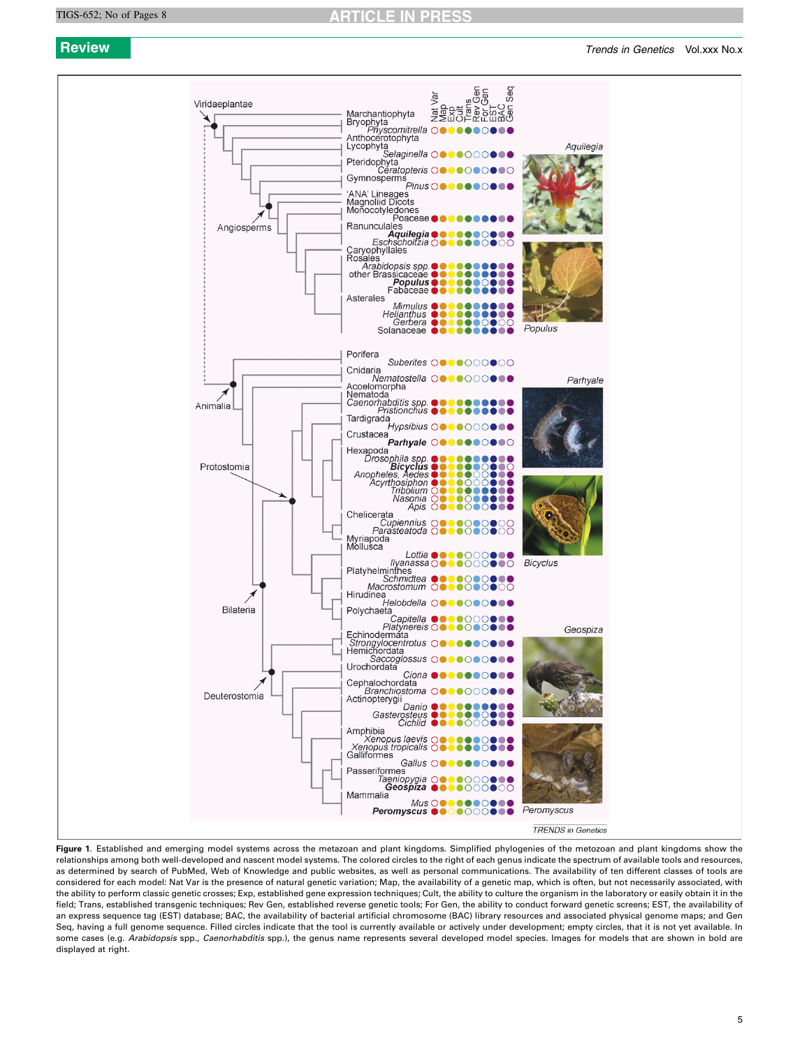# <span id="page-4-0"></span>TIGS-652; No of Pages 8

# **ARTICLE IN PRESS**



Figure 1. Established and emerging model systems across the metazoan and plant kingdoms. Simplified phylogenies of the metozoan and plant kingdoms show the relationships among both well-developed and nascent model systems. The colored circles to the right of each genus indicate the spectrum of available tools and resources, as determined by search of PubMed, Web of Knowledge and public websites, as well as personal communications. The availability of ten different classes of tools are considered for each model: Nat Var is the presence of natural genetic variation; Map, the availability of a genetic map, which is often, but not necessarily associated, with the ability to perform classic genetic crosses; Exp, established gene expression techniques; Cult, the ability to culture the organism in the laboratory or easily obtain it in the field; Trans, established transgenic techniques; Rev Gen, established reverse genetic tools; For Gen, the ability to conduct forward genetic screens; EST, the availability of an express sequence tag (EST) database; BAC, the availability of bacterial artificial chromosome (BAC) library resources and associated physical genome maps; and Gen Seq, having a full genome sequence. Filled circles indicate that the tool is currently available or actively under development; empty circles, that it is not yet available. In some cases (e.g. Arabidopsis spp., Caenorhabditis spp.), the genus name represents several developed model species. Images for models that are shown in bold are displayed at right.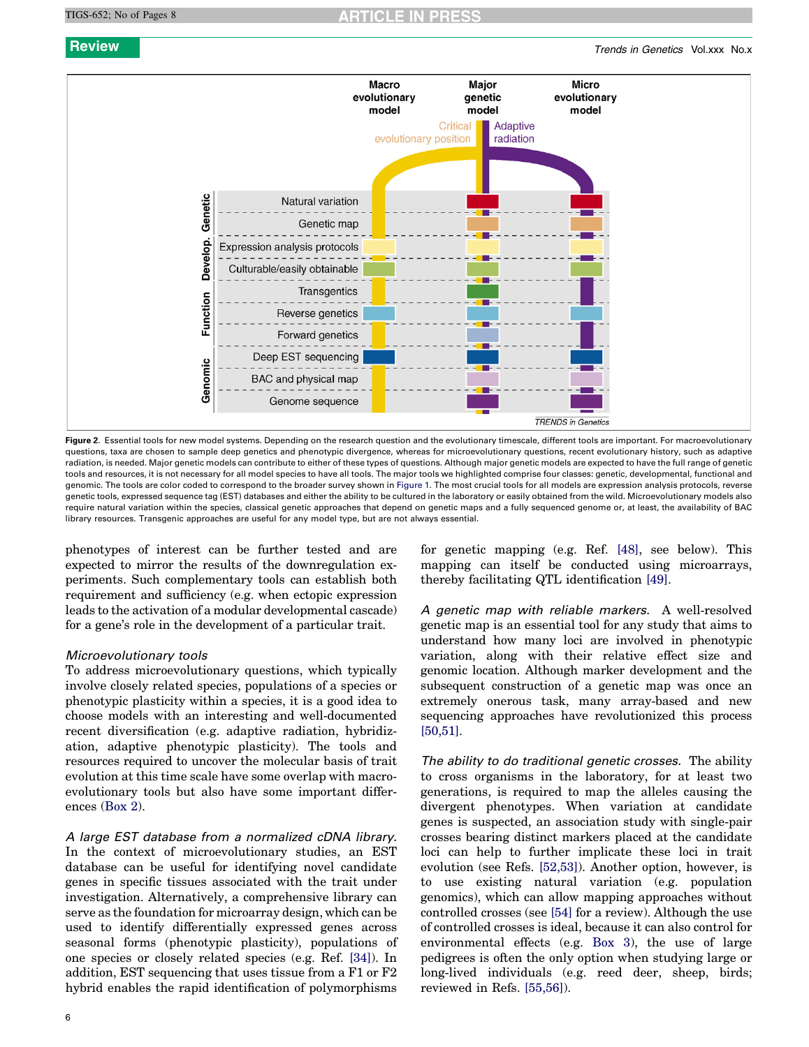<span id="page-5-0"></span>**Review Trends in Genetics Vol.xxx No.x** No.x



Figure 2. Essential tools for new model systems. Depending on the research question and the evolutionary timescale, different tools are important. For macroevolutionary questions, taxa are chosen to sample deep genetics and phenotypic divergence, whereas for microevolutionary questions, recent evolutionary history, such as adaptive radiation, is needed. Major genetic models can contribute to either of these types of questions. Although major genetic models are expected to have the full range of genetic tools and resources, it is not necessary for all model species to have all tools. The major tools we highlighted comprise four classes: genetic, developmental, functional and genomic. The tools are color coded to correspond to the broader survey shown in [Figure 1](#page-4-0). The most crucial tools for all models are expression analysis protocols, reverse genetic tools, expressed sequence tag (EST) databases and either the ability to be cultured in the laboratory or easily obtained from the wild. Microevolutionary models also require natural variation within the species, classical genetic approaches that depend on genetic maps and a fully sequenced genome or, at least, the availability of BAC library resources. Transgenic approaches are useful for any model type, but are not always essential.

phenotypes of interest can be further tested and are expected to mirror the results of the downregulation experiments. Such complementary tools can establish both requirement and sufficiency (e.g. when ectopic expression leads to the activation of a modular developmental cascade) for a gene's role in the development of a particular trait.

## Microevolutionary tools

To address microevolutionary questions, which typically involve closely related species, populations of a species or phenotypic plasticity within a species, it is a good idea to choose models with an interesting and well-documented recent diversification (e.g. adaptive radiation, hybridization, adaptive phenotypic plasticity). The tools and resources required to uncover the molecular basis of trait evolution at this time scale have some overlap with macroevolutionary tools but also have some important differences [\(Box 2](#page-1-0)).

A large EST database from a normalized cDNA library. In the context of microevolutionary studies, an EST database can be useful for identifying novel candidate genes in specific tissues associated with the trait under investigation. Alternatively, a comprehensive library can serve as the foundation for microarray design, which can be used to identify differentially expressed genes across seasonal forms (phenotypic plasticity), populations of one species or closely related species (e.g. Ref. [\[34\]](#page-7-0)). In addition, EST sequencing that uses tissue from a F1 or F2 hybrid enables the rapid identification of polymorphisms for genetic mapping (e.g. Ref. [\[48\],](#page-7-0) see below). This mapping can itself be conducted using microarrays, thereby facilitating QTL identification [\[49\].](#page-7-0)

A genetic map with reliable markers. A well-resolved genetic map is an essential tool for any study that aims to understand how many loci are involved in phenotypic variation, along with their relative effect size and genomic location. Although marker development and the subsequent construction of a genetic map was once an extremely onerous task, many array-based and new sequencing approaches have revolutionized this process [\[50,51\].](#page-7-0)

The ability to do traditional genetic crosses. The ability to cross organisms in the laboratory, for at least two generations, is required to map the alleles causing the divergent phenotypes. When variation at candidate genes is suspected, an association study with single-pair crosses bearing distinct markers placed at the candidate loci can help to further implicate these loci in trait evolution (see Refs. [\[52,53\]\)](#page-7-0). Another option, however, is to use existing natural variation (e.g. population genomics), which can allow mapping approaches without controlled crosses (see [\[54\]](#page-7-0) for a review). Although the use of controlled crosses is ideal, because it can also control for environmental effects (e.g. [Box 3](#page-6-0)), the use of large pedigrees is often the only option when studying large or long-lived individuals (e.g. reed deer, sheep, birds; reviewed in Refs. [\[55,56\]\)](#page-7-0).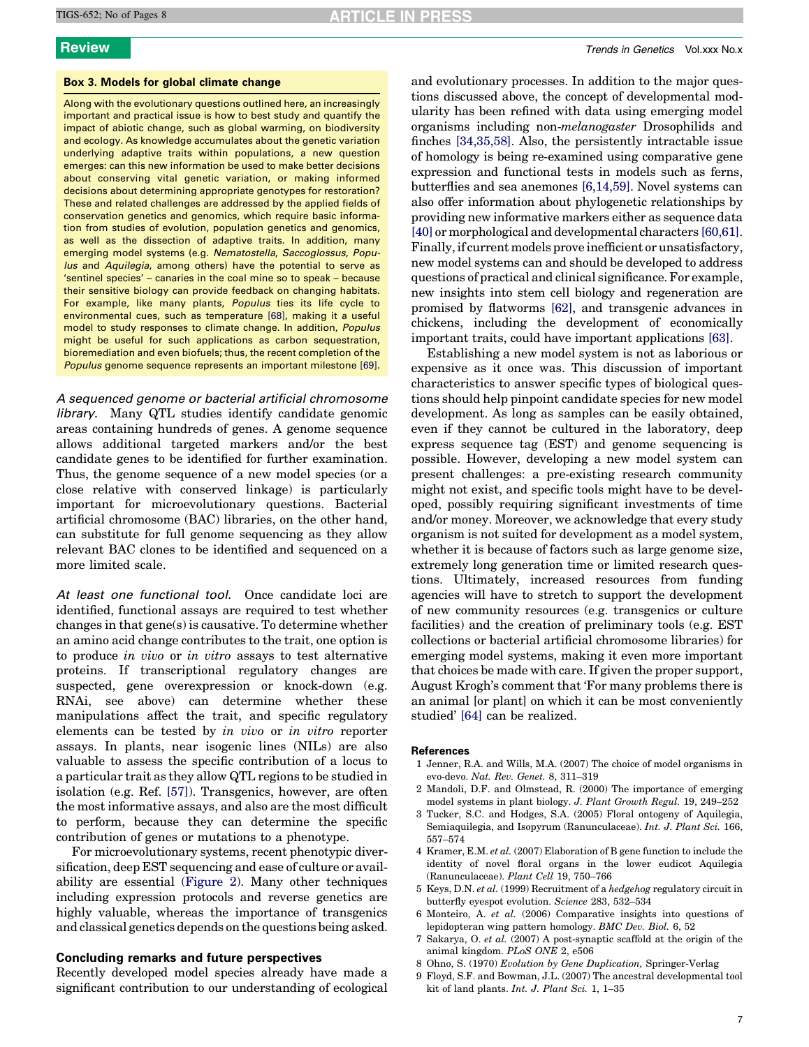### <span id="page-6-0"></span>Box 3. Models for global climate change

Along with the evolutionary questions outlined here, an increasingly important and practical issue is how to best study and quantify the impact of abiotic change, such as global warming, on biodiversity and ecology. As knowledge accumulates about the genetic variation underlying adaptive traits within populations, a new question emerges: can this new information be used to make better decisions about conserving vital genetic variation, or making informed decisions about determining appropriate genotypes for restoration? These and related challenges are addressed by the applied fields of conservation genetics and genomics, which require basic information from studies of evolution, population genetics and genomics, as well as the dissection of adaptive traits. In addition, many emerging model systems (e.g. Nematostella, Saccoglossus, Populus and Aquilegia, among others) have the potential to serve as 'sentinel species' – canaries in the coal mine so to speak – because their sensitive biology can provide feedback on changing habitats. For example, like many plants, Populus ties its life cycle to environmental cues, such as temperature [\[68\],](#page-7-0) making it a useful model to study responses to climate change. In addition, Populus might be useful for such applications as carbon sequestration, bioremediation and even biofuels; thus, the recent completion of the Populus genome sequence represents an important milestone [\[69\].](#page-7-0)

A sequenced genome or bacterial artificial chromosome library. Many QTL studies identify candidate genomic areas containing hundreds of genes. A genome sequence allows additional targeted markers and/or the best candidate genes to be identified for further examination. Thus, the genome sequence of a new model species (or a close relative with conserved linkage) is particularly important for microevolutionary questions. Bacterial artificial chromosome (BAC) libraries, on the other hand, can substitute for full genome sequencing as they allow relevant BAC clones to be identified and sequenced on a more limited scale.

At least one functional tool. Once candidate loci are identified, functional assays are required to test whether changes in that gene(s) is causative. To determine whether an amino acid change contributes to the trait, one option is to produce in vivo or in vitro assays to test alternative proteins. If transcriptional regulatory changes are suspected, gene overexpression or knock-down (e.g. RNAi, see above) can determine whether these manipulations affect the trait, and specific regulatory elements can be tested by in vivo or in vitro reporter assays. In plants, near isogenic lines (NILs) are also valuable to assess the specific contribution of a locus to a particular trait as they allow QTL regions to be studied in isolation (e.g. Ref. [\[57\]\)](#page-7-0). Transgenics, however, are often the most informative assays, and also are the most difficult to perform, because they can determine the specific contribution of genes or mutations to a phenotype.

For microevolutionary systems, recent phenotypic diversification, deep EST sequencing and ease of culture or availability are essential [\(Figure 2](#page-5-0)). Many other techniques including expression protocols and reverse genetics are highly valuable, whereas the importance of transgenics and classical genetics depends on the questions being asked.

### Concluding remarks and future perspectives

Recently developed model species already have made a significant contribution to our understanding of ecological

and evolutionary processes. In addition to the major questions discussed above, the concept of developmental modularity has been refined with data using emerging model organisms including non-melanogaster Drosophilids and finches [\[34,35,58\]](#page-7-0). Also, the persistently intractable issue of homology is being re-examined using comparative gene expression and functional tests in models such as ferns, butterflies and sea anemones [6,14,59]. Novel systems can also offer information about phylogenetic relationships by providing new informative markers either as sequence data [\[40\]](#page-7-0) or morphological and developmental characters [\[60,61\]](#page-7-0). Finally, if current models prove inefficient or unsatisfactory, new model systems can and should be developed to address questions of practical and clinical significance. For example, new insights into stem cell biology and regeneration are promised by flatworms [\[62\],](#page-7-0) and transgenic advances in chickens, including the development of economically important traits, could have important applications [\[63\].](#page-7-0)

Establishing a new model system is not as laborious or expensive as it once was. This discussion of important characteristics to answer specific types of biological questions should help pinpoint candidate species for new model development. As long as samples can be easily obtained, even if they cannot be cultured in the laboratory, deep express sequence tag (EST) and genome sequencing is possible. However, developing a new model system can present challenges: a pre-existing research community might not exist, and specific tools might have to be developed, possibly requiring significant investments of time and/or money. Moreover, we acknowledge that every study organism is not suited for development as a model system, whether it is because of factors such as large genome size, extremely long generation time or limited research questions. Ultimately, increased resources from funding agencies will have to stretch to support the development of new community resources (e.g. transgenics or culture facilities) and the creation of preliminary tools (e.g. EST collections or bacterial artificial chromosome libraries) for emerging model systems, making it even more important that choices be made with care. If given the proper support, August Krogh's comment that 'For many problems there is an animal [or plant] on which it can be most conveniently studied' [\[64\]](#page-7-0) can be realized.

### References

- 1 Jenner, R.A. and Wills, M.A. (2007) The choice of model organisms in evo-devo. Nat. Rev. Genet. 8, 311–319
- 2 Mandoli, D.F. and Olmstead, R. (2000) The importance of emerging model systems in plant biology. J. Plant Growth Regul. 19, 249–252
- 3 Tucker, S.C. and Hodges, S.A. (2005) Floral ontogeny of Aquilegia, Semiaquilegia, and Isopyrum (Ranunculaceae). Int. J. Plant Sci. 166, 557–574
- 4 Kramer, E.M. et al. (2007) Elaboration of B gene function to include the identity of novel floral organs in the lower eudicot Aquilegia (Ranunculaceae). Plant Cell 19, 750–766
- 5 Keys, D.N. et al. (1999) Recruitment of a hedgehog regulatory circuit in butterfly eyespot evolution. Science 283, 532–534
- 6 Monteiro, A. et al. (2006) Comparative insights into questions of lepidopteran wing pattern homology. BMC Dev. Biol. 6, 52
- 7 Sakarya, O. et al. (2007) A post-synaptic scaffold at the origin of the animal kingdom. PLoS ONE 2, e506
- 8 Ohno, S. (1970) Evolution by Gene Duplication, Springer-Verlag
- 9 Floyd, S.F. and Bowman, J.L. (2007) The ancestral developmental tool kit of land plants. Int. J. Plant Sci. 1, 1–35